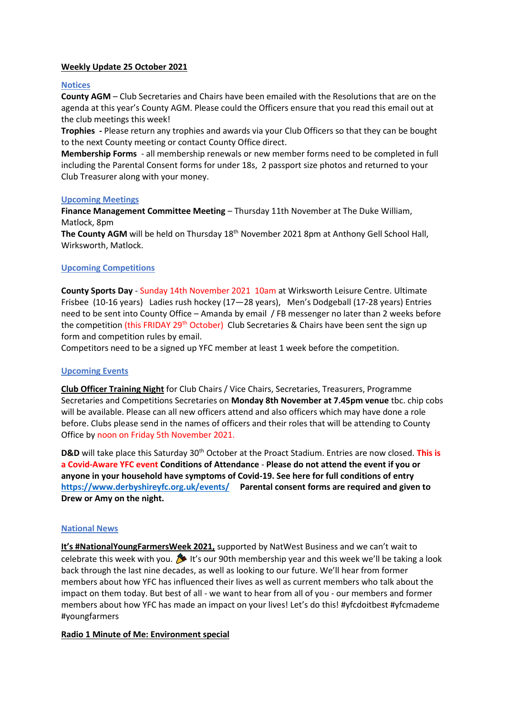## **Weekly Update 25 October 2021**

#### **Notices**

**County AGM** – Club Secretaries and Chairs have been emailed with the Resolutions that are on the agenda at this year's County AGM. Please could the Officers ensure that you read this email out at the club meetings this week!

**Trophies -** Please return any trophies and awards via your Club Officers so that they can be bought to the next County meeting or contact County Office direct.

**Membership Forms** - all membership renewals or new member forms need to be completed in full including the Parental Consent forms for under 18s, 2 passport size photos and returned to your Club Treasurer along with your money.

#### **Upcoming Meetings**

**Finance Management Committee Meeting** – Thursday 11th November at The Duke William, Matlock, 8pm

The County AGM will be held on Thursday 18<sup>th</sup> November 2021 8pm at Anthony Gell School Hall, Wirksworth, Matlock.

## **Upcoming Competitions**

**County Sports Day** - Sunday 14th November 2021 10am at Wirksworth Leisure Centre. Ultimate Frisbee (10-16 years) Ladies rush hockey (17—28 years), Men's Dodgeball (17-28 years) Entries need to be sent into County Office – Amanda by email / FB messenger no later than 2 weeks before the competition (this FRIDAY 29<sup>th</sup> October) Club Secretaries & Chairs have been sent the sign up form and competition rules by email.

Competitors need to be a signed up YFC member at least 1 week before the competition.

## **Upcoming Events**

**Club Officer Training Night** for Club Chairs / Vice Chairs, Secretaries, Treasurers, Programme Secretaries and Competitions Secretaries on **Monday 8th November at 7.45pm venue** tbc. chip cobs will be available. Please can all new officers attend and also officers which may have done a role before. Clubs please send in the names of officers and their roles that will be attending to County Office by noon on Friday 5th November 2021.

**D&D** will take place this Saturday 30th October at the Proact Stadium. Entries are now closed. **This is a Covid-Aware YFC event Conditions of Attendance** - **Please do not attend the event if you or anyone in your household have symptoms of Covid-19. See here for full conditions of entry <https://www.derbyshireyfc.org.uk/events/>Parental consent forms are required and given to Drew or Amy on the night.**

## **National News**

**It's #NationalYoungFarmersWeek 2021,** supported by NatWest Business and we can't wait to celebrate this week with you.  $\bullet$  It's our 90th membership year and this week we'll be taking a look back through the last nine decades, as well as looking to our future. We'll hear from former members about how YFC has influenced their lives as well as current members who talk about the impact on them today. But best of all - we want to hear from all of you - our members and former members about how YFC has made an impact on your lives! Let's do this! #yfcdoitbest #yfcmademe #youngfarmers

## **Radio 1 Minute of Me: Environment special**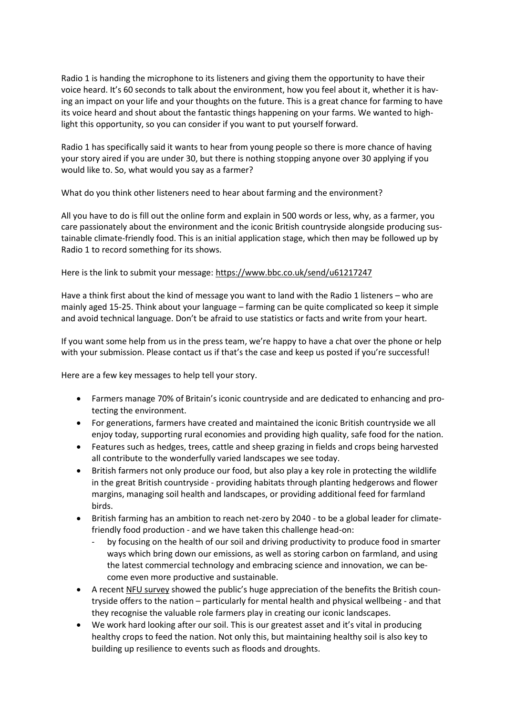Radio 1 is handing the microphone to its listeners and giving them the opportunity to have their voice heard. It's 60 seconds to talk about the environment, how you feel about it, whether it is having an impact on your life and your thoughts on the future. This is a great chance for farming to have its voice heard and shout about the fantastic things happening on your farms. We wanted to highlight this opportunity, so you can consider if you want to put yourself forward.

Radio 1 has specifically said it wants to hear from young people so there is more chance of having your story aired if you are under 30, but there is nothing stopping anyone over 30 applying if you would like to. So, what would you say as a farmer?

What do you think other listeners need to hear about farming and the environment?

All you have to do is fill out the online form and explain in 500 words or less, why, as a farmer, you care passionately about the environment and the iconic British countryside alongside producing sustainable climate-friendly food. This is an initial application stage, which then may be followed up by Radio 1 to record something for its shows.

# Here is the link to submit your message[: https://www.bbc.co.uk/send/u61217247](https://www.bbc.co.uk/send/u61217247)

Have a think first about the kind of message you want to land with the Radio 1 listeners – who are mainly aged 15-25. Think about your language – farming can be quite complicated so keep it simple and avoid technical language. Don't be afraid to use statistics or facts and write from your heart.

If you want some help from us in the press team, we're happy to have a chat over the phone or help with your submission. Please contact us if that's the case and keep us posted if you're successful!

Here are a few key messages to help tell your story.

- Farmers manage 70% of Britain's iconic countryside and are dedicated to enhancing and protecting the environment.
- For generations, farmers have created and maintained the iconic British countryside we all enjoy today, supporting rural economies and providing high quality, safe food for the nation.
- Features such as hedges, trees, cattle and sheep grazing in fields and crops being harvested all contribute to the wonderfully varied landscapes we see today.
- British farmers not only produce our food, but also play a key role in protecting the wildlife in the great British countryside - providing habitats through planting hedgerows and flower margins, managing soil health and landscapes, or providing additional feed for farmland birds.
- British farming has an ambition to reach net-zero by 2040 to be a global leader for climatefriendly food production - and we have taken this challenge head-on:
	- by focusing on the health of our soil and driving productivity to produce food in smarter ways which bring down our emissions, as well as storing carbon on farmland, and using the latest commercial technology and embracing science and innovation, we can become even more productive and sustainable.
- A recent [NFU survey](https://www.nfuonline.com/news/latest-news/new-survey-shows-visiting-british-farmland-benefits-mental-health/) showed the public's huge appreciation of the benefits the British countryside offers to the nation – particularly for mental health and physical wellbeing - and that they recognise the valuable role farmers play in creating our iconic landscapes.
- We work hard looking after our soil. This is our greatest asset and it's vital in producing healthy crops to feed the nation. Not only this, but maintaining healthy soil is also key to building up resilience to events such as floods and droughts.